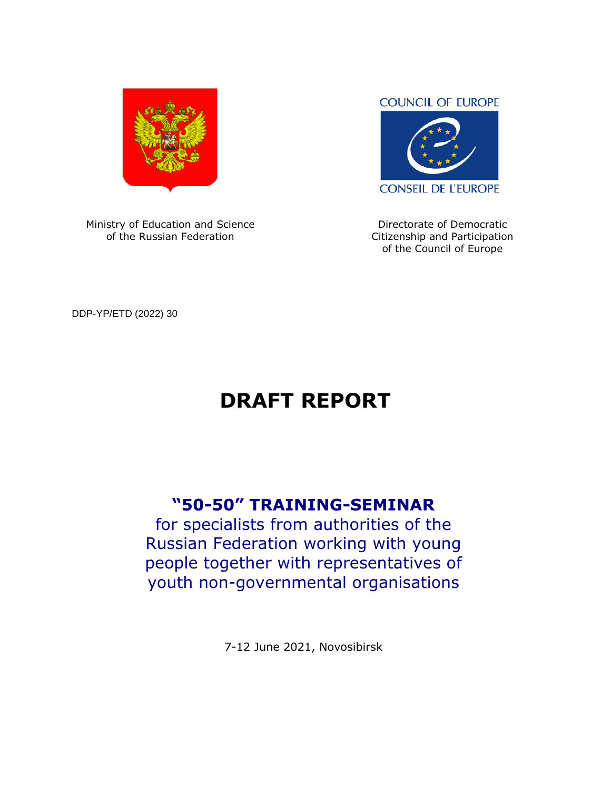

Ministry of Education and Science of the Russian Federation

#### **COUNCIL OF EUROPE**



Directorate of Democratic Citizenship and Participation of the Council of Europe

DDP-YP/ETD (2022) 30

# **DRAFT REPORT**

## **"50-50" TRAINING-SEMINAR**

for specialists from authorities of the Russian Federation working with young people together with representatives of youth non-governmental organisations

7-12 June 2021, Novosibirsk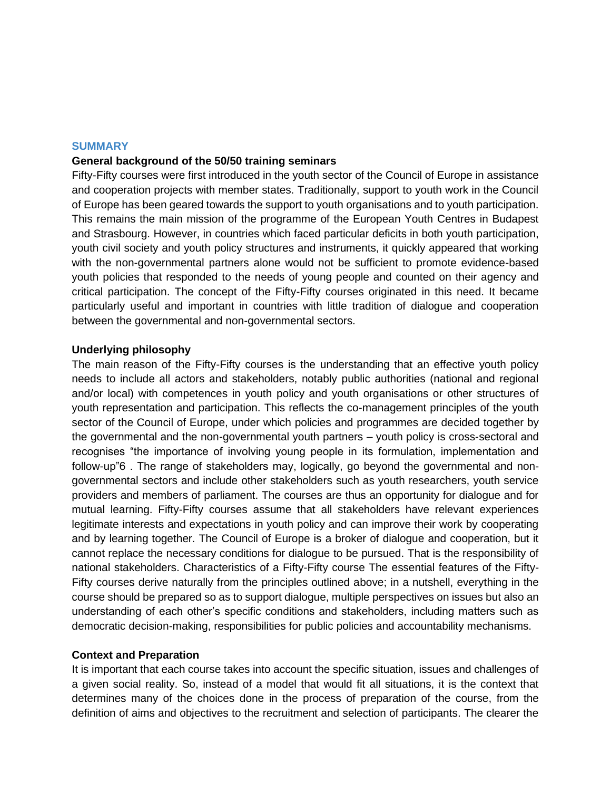#### **SUMMARY**

#### **General background of the 50/50 training seminars**

Fifty-Fifty courses were first introduced in the youth sector of the Council of Europe in assistance and cooperation projects with member states. Traditionally, support to youth work in the Council of Europe has been geared towards the support to youth organisations and to youth participation. This remains the main mission of the programme of the European Youth Centres in Budapest and Strasbourg. However, in countries which faced particular deficits in both youth participation, youth civil society and youth policy structures and instruments, it quickly appeared that working with the non-governmental partners alone would not be sufficient to promote evidence-based youth policies that responded to the needs of young people and counted on their agency and critical participation. The concept of the Fifty-Fifty courses originated in this need. It became particularly useful and important in countries with little tradition of dialogue and cooperation between the governmental and non-governmental sectors.

#### **Underlying philosophy**

The main reason of the Fifty-Fifty courses is the understanding that an effective youth policy needs to include all actors and stakeholders, notably public authorities (national and regional and/or local) with competences in youth policy and youth organisations or other structures of youth representation and participation. This reflects the co-management principles of the youth sector of the Council of Europe, under which policies and programmes are decided together by the governmental and the non-governmental youth partners – youth policy is cross-sectoral and recognises "the importance of involving young people in its formulation, implementation and follow-up"6 . The range of stakeholders may, logically, go beyond the governmental and nongovernmental sectors and include other stakeholders such as youth researchers, youth service providers and members of parliament. The courses are thus an opportunity for dialogue and for mutual learning. Fifty-Fifty courses assume that all stakeholders have relevant experiences legitimate interests and expectations in youth policy and can improve their work by cooperating and by learning together. The Council of Europe is a broker of dialogue and cooperation, but it cannot replace the necessary conditions for dialogue to be pursued. That is the responsibility of national stakeholders. Characteristics of a Fifty-Fifty course The essential features of the Fifty-Fifty courses derive naturally from the principles outlined above; in a nutshell, everything in the course should be prepared so as to support dialogue, multiple perspectives on issues but also an understanding of each other's specific conditions and stakeholders, including matters such as democratic decision-making, responsibilities for public policies and accountability mechanisms.

#### **Context and Preparation**

It is important that each course takes into account the specific situation, issues and challenges of a given social reality. So, instead of a model that would fit all situations, it is the context that determines many of the choices done in the process of preparation of the course, from the definition of aims and objectives to the recruitment and selection of participants. The clearer the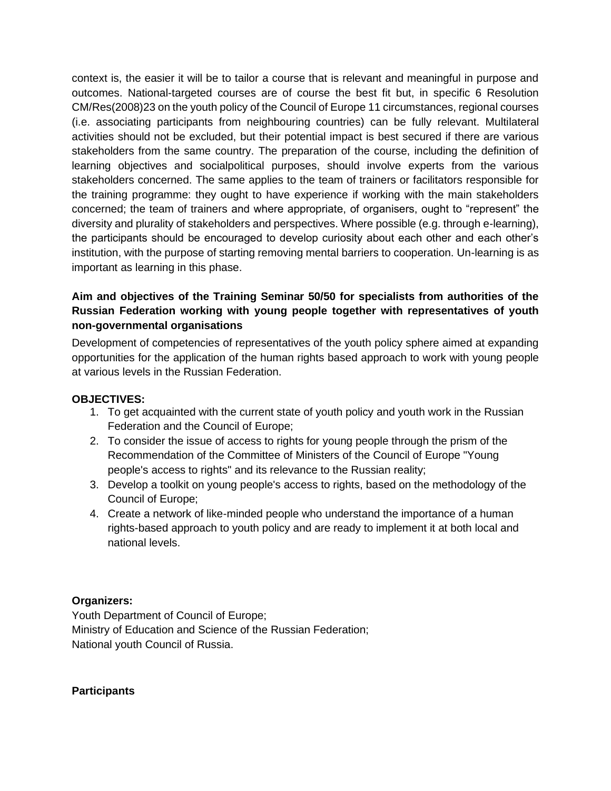context is, the easier it will be to tailor a course that is relevant and meaningful in purpose and outcomes. National-targeted courses are of course the best fit but, in specific 6 Resolution CM/Res(2008)23 on the youth policy of the Council of Europe 11 circumstances, regional courses (i.e. associating participants from neighbouring countries) can be fully relevant. Multilateral activities should not be excluded, but their potential impact is best secured if there are various stakeholders from the same country. The preparation of the course, including the definition of learning objectives and socialpolitical purposes, should involve experts from the various stakeholders concerned. The same applies to the team of trainers or facilitators responsible for the training programme: they ought to have experience if working with the main stakeholders concerned; the team of trainers and where appropriate, of organisers, ought to "represent" the diversity and plurality of stakeholders and perspectives. Where possible (e.g. through e-learning), the participants should be encouraged to develop curiosity about each other and each other's institution, with the purpose of starting removing mental barriers to cooperation. Un-learning is as important as learning in this phase.

#### **Aim and objectives of the Training Seminar 50/50 for specialists from authorities of the Russian Federation working with young people together with representatives of youth non-governmental organisations**

Development of competencies of representatives of the youth policy sphere aimed at expanding opportunities for the application of the human rights based approach to work with young people at various levels in the Russian Federation.

#### **OBJECTIVES:**

- 1. To get acquainted with the current state of youth policy and youth work in the Russian Federation and the Council of Europe;
- 2. To consider the issue of access to rights for young people through the prism of the Recommendation of the Committee of Ministers of the Council of Europe "Young people's access to rights" and its relevance to the Russian reality;
- 3. Develop a toolkit on young people's access to rights, based on the methodology of the Council of Europe;
- 4. Create a network of like-minded people who understand the importance of a human rights-based approach to youth policy and are ready to implement it at both local and national levels.

#### **Organizers:**

Youth Department of Council of Europe; Ministry of Education and Science of the Russian Federation; National youth Council of Russia.

#### **Participants**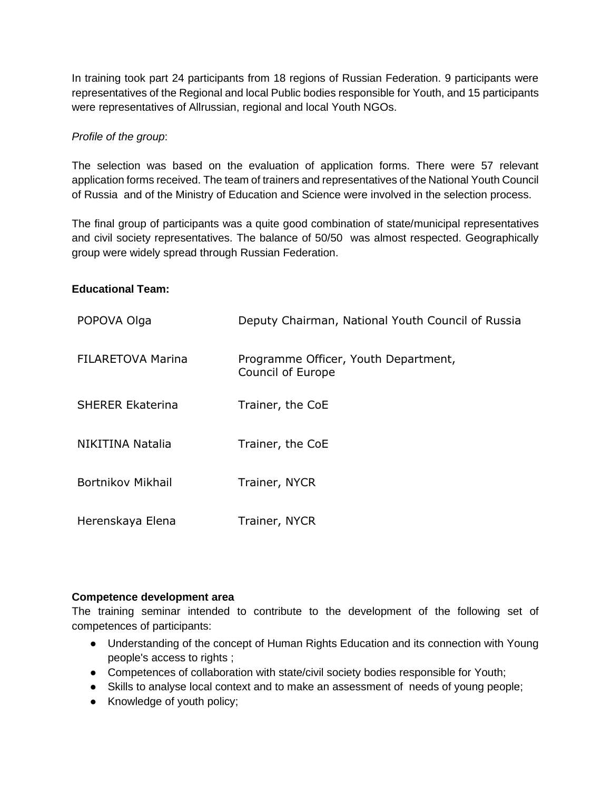In training took part 24 participants from 18 regions of Russian Federation. 9 participants were representatives of the Regional and local Public bodies responsible for Youth, and 15 participants were representatives of Allrussian, regional and local Youth NGOs.

#### *Profile of the group*:

The selection was based on the evaluation of application forms. There were 57 relevant application forms received. The team of trainers and representatives of the National Youth Council of Russia and of the Ministry of Education and Science were involved in the selection process.

The final group of participants was a quite good combination of state/municipal representatives and civil society representatives. The balance of 50/50 was almost respected. Geographically group were widely spread through Russian Federation.

#### **Educational Team:**

| POPOVA Olga              | Deputy Chairman, National Youth Council of Russia         |
|--------------------------|-----------------------------------------------------------|
| <b>FILARETOVA Marina</b> | Programme Officer, Youth Department,<br>Council of Europe |
| <b>SHERER Ekaterina</b>  | Trainer, the CoE                                          |
| NIKITINA Natalia         | Trainer, the CoE                                          |
| Bortnikov Mikhail        | Trainer, NYCR                                             |
| Herenskaya Elena         | Trainer, NYCR                                             |

#### **Competence development area**

The training seminar intended to contribute to the development of the following set of competences of participants:

- Understanding of the concept of Human Rights Education and its connection with Young people's access to rights ;
- Competences of collaboration with state/civil society bodies responsible for Youth;
- Skills to analyse local context and to make an assessment of needs of young people;
- Knowledge of youth policy;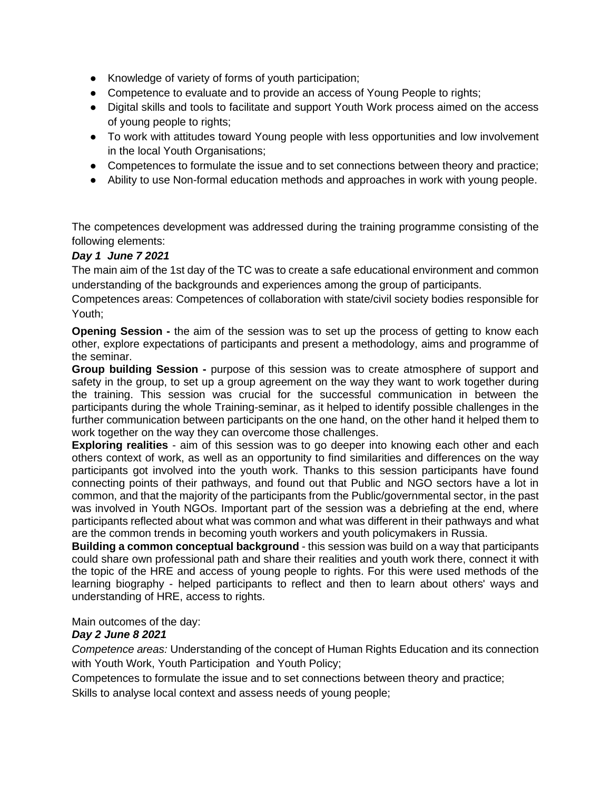- Knowledge of variety of forms of youth participation;
- Competence to evaluate and to provide an access of Young People to rights;
- Digital skills and tools to facilitate and support Youth Work process aimed on the access of young people to rights;
- To work with attitudes toward Young people with less opportunities and low involvement in the local Youth Organisations;
- Competences to formulate the issue and to set connections between theory and practice;
- Ability to use Non-formal education methods and approaches in work with young people.

The competences development was addressed during the training programme consisting of the following elements:

#### *Day 1 June 7 2021*

The main aim of the 1st day of the TC was to create a safe educational environment and common understanding of the backgrounds and experiences among the group of participants.

Competences areas: Competences of collaboration with state/civil society bodies responsible for Youth;

**Opening Session -** the aim of the session was to set up the process of getting to know each other, explore expectations of participants and present a methodology, aims and programme of the seminar.

**Group building Session -** purpose of this session was to create atmosphere of support and safety in the group, to set up a group agreement on the way they want to work together during the training. This session was crucial for the successful communication in between the participants during the whole Training-seminar, as it helped to identify possible challenges in the further communication between participants on the one hand, on the other hand it helped them to work together on the way they can overcome those challenges.

**Exploring realities** - aim of this session was to go deeper into knowing each other and each others context of work, as well as an opportunity to find similarities and differences on the way participants got involved into the youth work. Thanks to this session participants have found connecting points of their pathways, and found out that Public and NGO sectors have a lot in common, and that the majority of the participants from the Public/governmental sector, in the past was involved in Youth NGOs. Important part of the session was a debriefing at the end, where participants reflected about what was common and what was different in their pathways and what are the common trends in becoming youth workers and youth policymakers in Russia.

**Building a common conceptual background** - this session was build on a way that participants could share own professional path and share their realities and youth work there, connect it with the topic of the HRE and access of young people to rights. For this were used methods of the learning biography - helped participants to reflect and then to learn about others' ways and understanding of HRE, access to rights.

Main outcomes of the day:

#### *Day 2 June 8 2021*

*Competence areas:* Understanding of the concept of Human Rights Education and its connection with Youth Work, Youth Participation and Youth Policy;

Competences to formulate the issue and to set connections between theory and practice; Skills to analyse local context and assess needs of young people;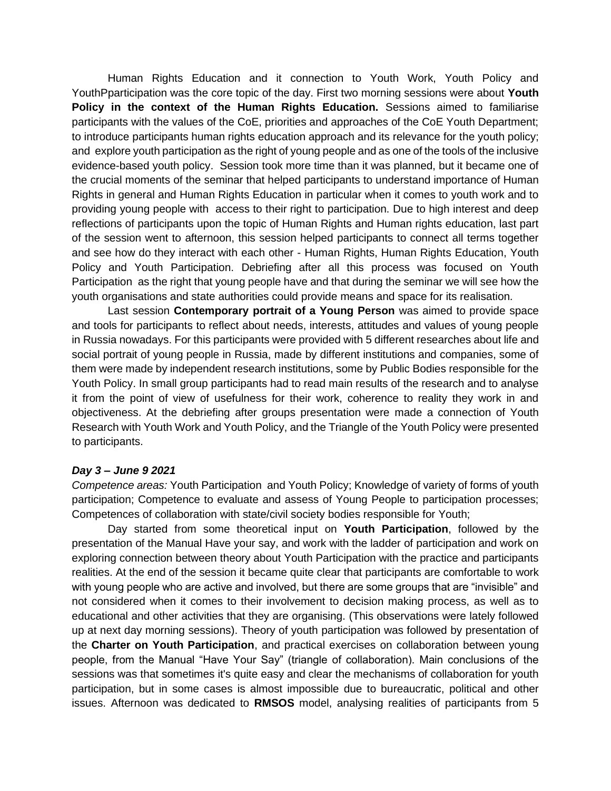Human Rights Education and it connection to Youth Work, Youth Policy and YouthPparticipation was the core topic of the day. First two morning sessions were about **Youth Policy in the context of the Human Rights Education.** Sessions aimed to familiarise participants with the values of the CoE, priorities and approaches of the CoE Youth Department; to introduce participants human rights education approach and its relevance for the youth policy; and explore youth participation as the right of young people and as one of the tools of the inclusive evidence-based youth policy. Session took more time than it was planned, but it became one of the crucial moments of the seminar that helped participants to understand importance of Human Rights in general and Human Rights Education in particular when it comes to youth work and to providing young people with access to their right to participation. Due to high interest and deep reflections of participants upon the topic of Human Rights and Human rights education, last part of the session went to afternoon, this session helped participants to connect all terms together and see how do they interact with each other - Human Rights, Human Rights Education, Youth Policy and Youth Participation. Debriefing after all this process was focused on Youth Participation as the right that young people have and that during the seminar we will see how the youth organisations and state authorities could provide means and space for its realisation.

Last session **Contemporary portrait of a Young Person** was aimed to provide space and tools for participants to reflect about needs, interests, attitudes and values of young people in Russia nowadays. For this participants were provided with 5 different researches about life and social portrait of young people in Russia, made by different institutions and companies, some of them were made by independent research institutions, some by Public Bodies responsible for the Youth Policy. In small group participants had to read main results of the research and to analyse it from the point of view of usefulness for their work, coherence to reality they work in and objectiveness. At the debriefing after groups presentation were made a connection of Youth Research with Youth Work and Youth Policy, and the Triangle of the Youth Policy were presented to participants.

#### *Day 3 – June 9 2021*

*Competence areas:* Youth Participation and Youth Policy; Knowledge of variety of forms of youth participation; Competence to evaluate and assess of Young People to participation processes; Competences of collaboration with state/civil society bodies responsible for Youth;

Day started from some theoretical input on **Youth Participation**, followed by the presentation of the Manual Have your say, and work with the ladder of participation and work on exploring connection between theory about Youth Participation with the practice and participants realities. At the end of the session it became quite clear that participants are comfortable to work with young people who are active and involved, but there are some groups that are "invisible" and not considered when it comes to their involvement to decision making process, as well as to educational and other activities that they are organising. (This observations were lately followed up at next day morning sessions). Theory of youth participation was followed by presentation of the **Charter on Youth Participation**, and practical exercises on collaboration between young people, from the Manual "Have Your Say" (triangle of collaboration). Main conclusions of the sessions was that sometimes it's quite easy and clear the mechanisms of collaboration for youth participation, but in some cases is almost impossible due to bureaucratic, political and other issues. Afternoon was dedicated to **RMSOS** model, analysing realities of participants from 5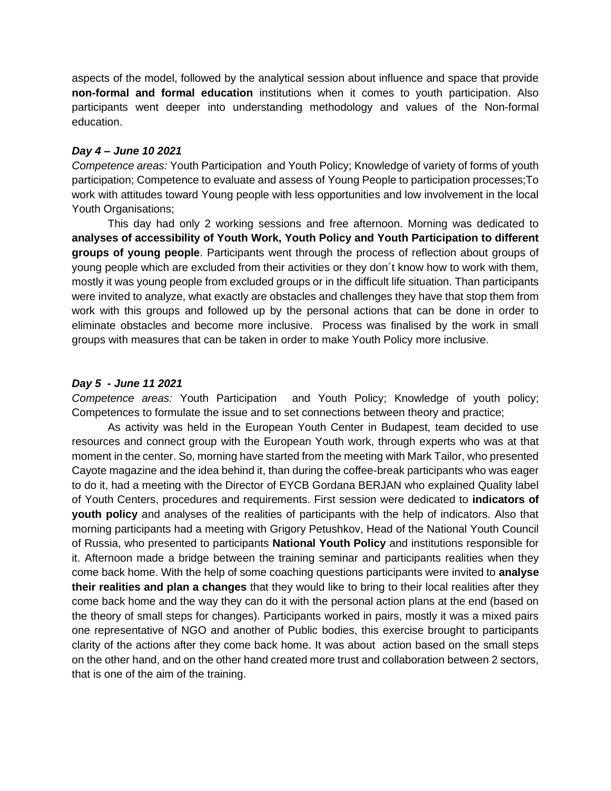aspects of the model, followed by the analytical session about influence and space that provide **non-formal and formal education** institutions when it comes to youth participation. Also participants went deeper into understanding methodology and values of the Non-formal education.

#### *Day 4 – June 10 2021*

*Competence areas:* Youth Participation and Youth Policy; Knowledge of variety of forms of youth participation; Competence to evaluate and assess of Young People to participation processes;To work with attitudes toward Young people with less opportunities and low involvement in the local Youth Organisations;

This day had only 2 working sessions and free afternoon. Morning was dedicated to **analyses of accessibility of Youth Work, Youth Policy and Youth Participation to different groups of young people**. Participants went through the process of reflection about groups of young people which are excluded from their activities or they don´t know how to work with them, mostly it was young people from excluded groups or in the difficult life situation. Than participants were invited to analyze, what exactly are obstacles and challenges they have that stop them from work with this groups and followed up by the personal actions that can be done in order to eliminate obstacles and become more inclusive. Process was finalised by the work in small groups with measures that can be taken in order to make Youth Policy more inclusive.

#### *Day 5 - June 11 2021*

*Competence areas:* Youth Participation and Youth Policy; Knowledge of youth policy; Competences to formulate the issue and to set connections between theory and practice;

As activity was held in the European Youth Center in Budapest, team decided to use resources and connect group with the European Youth work, through experts who was at that moment in the center. So, morning have started from the meeting with Mark Tailor, who presented Cayote magazine and the idea behind it, than during the coffee-break participants who was eager to do it, had a meeting with the Director of EYCB Gordana BERJAN who explained Quality label of Youth Centers, procedures and requirements. First session were dedicated to **indicators of youth policy** and analyses of the realities of participants with the help of indicators. Also that morning participants had a meeting with Grigory Petushkov, Head of the National Youth Council of Russia, who presented to participants **National Youth Policy** and institutions responsible for it. Afternoon made a bridge between the training seminar and participants realities when they come back home. With the help of some coaching questions participants were invited to **analyse their realities and plan a changes** that they would like to bring to their local realities after they come back home and the way they can do it with the personal action plans at the end (based on the theory of small steps for changes). Participants worked in pairs, mostly it was a mixed pairs one representative of NGO and another of Public bodies, this exercise brought to participants clarity of the actions after they come back home. It was about action based on the small steps on the other hand, and on the other hand created more trust and collaboration between 2 sectors, that is one of the aim of the training.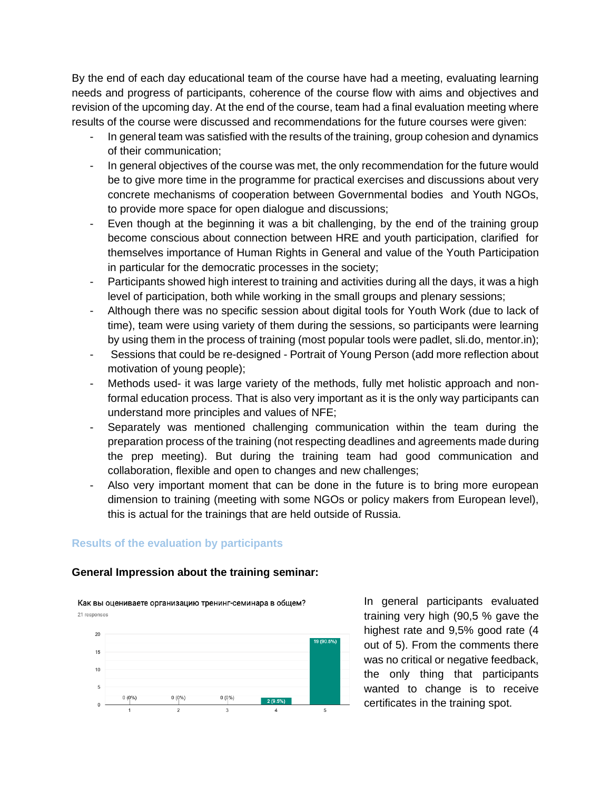By the end of each day educational team of the course have had a meeting, evaluating learning needs and progress of participants, coherence of the course flow with aims and objectives and revision of the upcoming day. At the end of the course, team had a final evaluation meeting where results of the course were discussed and recommendations for the future courses were given:

- In general team was satisfied with the results of the training, group cohesion and dynamics of their communication;
- In general objectives of the course was met, the only recommendation for the future would be to give more time in the programme for practical exercises and discussions about very concrete mechanisms of cooperation between Governmental bodies and Youth NGOs, to provide more space for open dialogue and discussions;
- Even though at the beginning it was a bit challenging, by the end of the training group become conscious about connection between HRE and youth participation, clarified for themselves importance of Human Rights in General and value of the Youth Participation in particular for the democratic processes in the society;
- Participants showed high interest to training and activities during all the days, it was a high level of participation, both while working in the small groups and plenary sessions;
- Although there was no specific session about digital tools for Youth Work (due to lack of time), team were using variety of them during the sessions, so participants were learning by using them in the process of training (most popular tools were padlet, sli.do, mentor.in);
- Sessions that could be re-designed Portrait of Young Person (add more reflection about motivation of young people);
- Methods used- it was large variety of the methods, fully met holistic approach and nonformal education process. That is also very important as it is the only way participants can understand more principles and values of NFE;
- Separately was mentioned challenging communication within the team during the preparation process of the training (not respecting deadlines and agreements made during the prep meeting). But during the training team had good communication and collaboration, flexible and open to changes and new challenges;
- Also very important moment that can be done in the future is to bring more european dimension to training (meeting with some NGOs or policy makers from European level), this is actual for the trainings that are held outside of Russia.

#### **Results of the evaluation by participants**

#### **General Impression about the training seminar:**

Как вы оцениваете организацию тренинг-семинара в общем? 21 responses



In general participants evaluated training very high (90,5 % gave the highest rate and 9,5% good rate (4 out of 5). From the comments there was no critical or negative feedback, the only thing that participants wanted to change is to receive certificates in the training spot.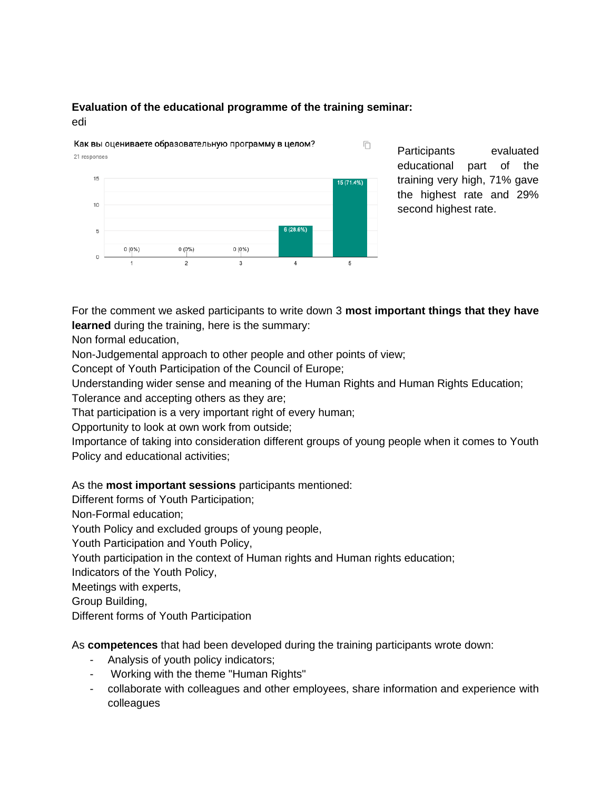#### **Evaluation of the educational programme of the training seminar:** edi



Participants evaluated educational part of the training very high, 71% gave the highest rate and 29% second highest rate.

For the comment we asked participants to write down 3 **most important things that they have learned** during the training, here is the summary:

Non formal education,

Non-Judgemental approach to other people and other points of view;

Concept of Youth Participation of the Council of Europe;

Understanding wider sense and meaning of the Human Rights and Human Rights Education;

Tolerance and accepting others as they are;

That participation is a very important right of every human;

Opportunity to look at own work from outside;

Importance of taking into consideration different groups of young people when it comes to Youth Policy and educational activities;

### As the **most important sessions** participants mentioned:

Different forms of Youth Participation;

Non-Formal education;

Youth Policy and excluded groups of young people,

Youth Participation and Youth Policy,

Youth participation in the context of Human rights and Human rights education;

Indicators of the Youth Policy,

Meetings with experts,

Group Building,

Different forms of Youth Participation

As **competences** that had been developed during the training participants wrote down:

- Analysis of youth policy indicators;
- Working with the theme "Human Rights"
- collaborate with colleagues and other employees, share information and experience with colleagues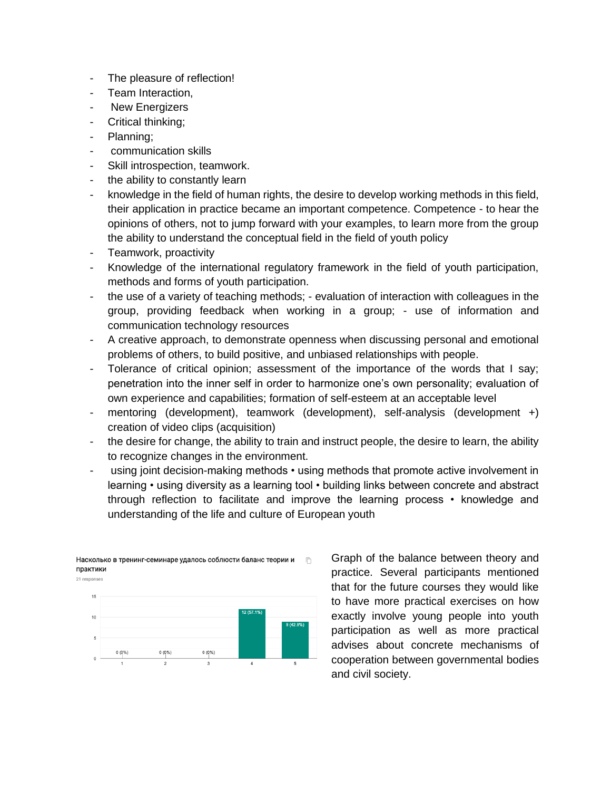- The pleasure of reflection!
- Team Interaction.
- New Energizers
- Critical thinking;
- Planning;
- communication skills
- Skill introspection, teamwork.
- the ability to constantly learn
- knowledge in the field of human rights, the desire to develop working methods in this field, their application in practice became an important competence. Competence - to hear the opinions of others, not to jump forward with your examples, to learn more from the group the ability to understand the conceptual field in the field of youth policy
- Teamwork, proactivity
- Knowledge of the international regulatory framework in the field of youth participation, methods and forms of youth participation.
- the use of a variety of teaching methods; evaluation of interaction with colleagues in the group, providing feedback when working in a group; - use of information and communication technology resources
- A creative approach, to demonstrate openness when discussing personal and emotional problems of others, to build positive, and unbiased relationships with people.
- Tolerance of critical opinion; assessment of the importance of the words that I say; penetration into the inner self in order to harmonize one's own personality; evaluation of own experience and capabilities; formation of self-esteem at an acceptable level
- mentoring (development), teamwork (development), self-analysis (development +) creation of video clips (acquisition)
- the desire for change, the ability to train and instruct people, the desire to learn, the ability to recognize changes in the environment.
- using joint decision-making methods using methods that promote active involvement in learning • using diversity as a learning tool • building links between concrete and abstract through reflection to facilitate and improve the learning process • knowledge and understanding of the life and culture of European youth



Насколько в тренинг-семинаре удалось соблюсти баланс теории и  $\Box$ практики

Graph of the balance between theory and practice. Several participants mentioned that for the future courses they would like to have more practical exercises on how exactly involve young people into youth participation as well as more practical advises about concrete mechanisms of cooperation between governmental bodies and civil society.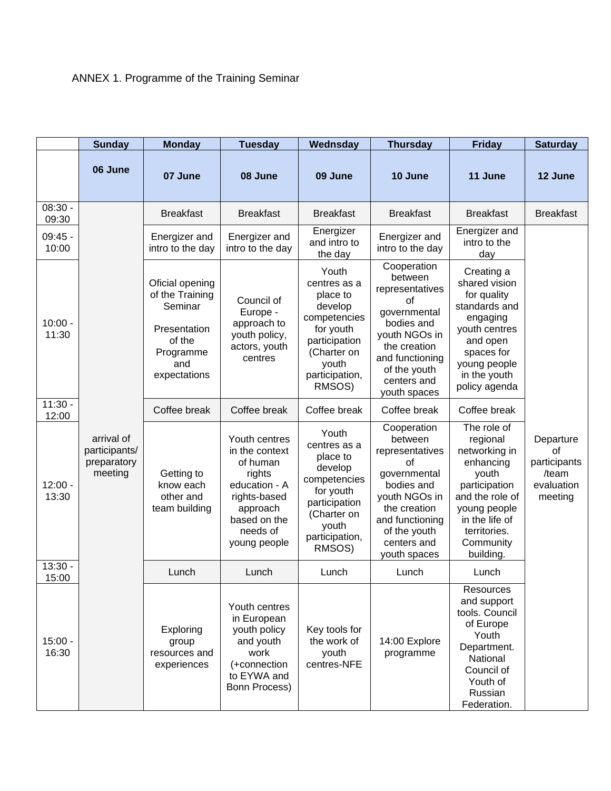## ANNEX 1. Programme of the Training Seminar

|                    | <b>Sunday</b>                                         | <b>Monday</b>                                                                                               | <b>Tuesday</b>                                                                                                                                 | Wednsday                                                                                                                                       | <b>Thursday</b>                                                                                                                                                                  | <b>Friday</b>                                                                                                                                                                  | <b>Saturday</b>                                                   |
|--------------------|-------------------------------------------------------|-------------------------------------------------------------------------------------------------------------|------------------------------------------------------------------------------------------------------------------------------------------------|------------------------------------------------------------------------------------------------------------------------------------------------|----------------------------------------------------------------------------------------------------------------------------------------------------------------------------------|--------------------------------------------------------------------------------------------------------------------------------------------------------------------------------|-------------------------------------------------------------------|
|                    | 06 June                                               | 07 June                                                                                                     | 08 June                                                                                                                                        | 09 June                                                                                                                                        | 10 June                                                                                                                                                                          | 11 June                                                                                                                                                                        | 12 June                                                           |
| $08:30 -$<br>09:30 |                                                       | <b>Breakfast</b>                                                                                            | <b>Breakfast</b>                                                                                                                               | <b>Breakfast</b>                                                                                                                               | <b>Breakfast</b>                                                                                                                                                                 | <b>Breakfast</b>                                                                                                                                                               | <b>Breakfast</b>                                                  |
| $09:45 -$<br>10:00 |                                                       | Energizer and<br>intro to the day                                                                           | Energizer and<br>intro to the day                                                                                                              | Energizer<br>and intro to<br>the day                                                                                                           | Energizer and<br>intro to the day                                                                                                                                                | Energizer and<br>intro to the<br>day                                                                                                                                           |                                                                   |
| $10:00 -$<br>11:30 |                                                       | Oficial opening<br>of the Training<br>Seminar<br>Presentation<br>of the<br>Programme<br>and<br>expectations | Council of<br>Europe -<br>approach to<br>youth policy,<br>actors, youth<br>centres                                                             | Youth<br>centres as a<br>place to<br>develop<br>competencies<br>for youth<br>participation<br>(Charter on<br>youth<br>participation,<br>RMSOS) | Cooperation<br>between<br>representatives<br>0f<br>governmental<br>bodies and<br>youth NGOs in<br>the creation<br>and functioning<br>of the youth<br>centers and<br>youth spaces | Creating a<br>shared vision<br>for quality<br>standards and<br>engaging<br>youth centres<br>and open<br>spaces for<br>young people<br>in the youth<br>policy agenda            |                                                                   |
| $11:30 -$<br>12:00 |                                                       | Coffee break                                                                                                | Coffee break                                                                                                                                   | Coffee break                                                                                                                                   | Coffee break                                                                                                                                                                     | Coffee break                                                                                                                                                                   |                                                                   |
| $12:00 -$<br>13:30 | arrival of<br>participants/<br>preparatory<br>meeting | Getting to<br>know each<br>other and<br>team building                                                       | Youth centres<br>in the context<br>of human<br>rights<br>education - A<br>rights-based<br>approach<br>based on the<br>needs of<br>young people | Youth<br>centres as a<br>place to<br>develop<br>competencies<br>for youth<br>participation<br>(Charter on<br>youth<br>participation,<br>RMSOS) | Cooperation<br>between<br>representatives<br>οf<br>governmental<br>bodies and<br>youth NGOs in<br>the creation<br>and functioning<br>of the youth<br>centers and<br>youth spaces | The role of<br>regional<br>networking in<br>enhancing<br>youth<br>participation<br>and the role of<br>young people<br>in the life of<br>territories.<br>Community<br>building. | Departure<br>of<br>participants<br>/team<br>evaluation<br>meeting |
| $13:30 -$<br>15:00 |                                                       | Lunch                                                                                                       | Lunch                                                                                                                                          | Lunch                                                                                                                                          | Lunch                                                                                                                                                                            | Lunch                                                                                                                                                                          |                                                                   |
| $15:00 -$<br>16:30 |                                                       | Exploring<br>group<br>resources and<br>experiences                                                          | Youth centres<br>in European<br>youth policy<br>and youth<br>work<br>(+connection<br>to EYWA and<br>Bonn Process)                              | Key tools for<br>the work of<br>youth<br>centres-NFE                                                                                           | 14:00 Explore<br>programme                                                                                                                                                       | Resources<br>and support<br>tools. Council<br>of Europe<br>Youth<br>Department.<br>National<br>Council of<br>Youth of<br>Russian<br>Federation.                                |                                                                   |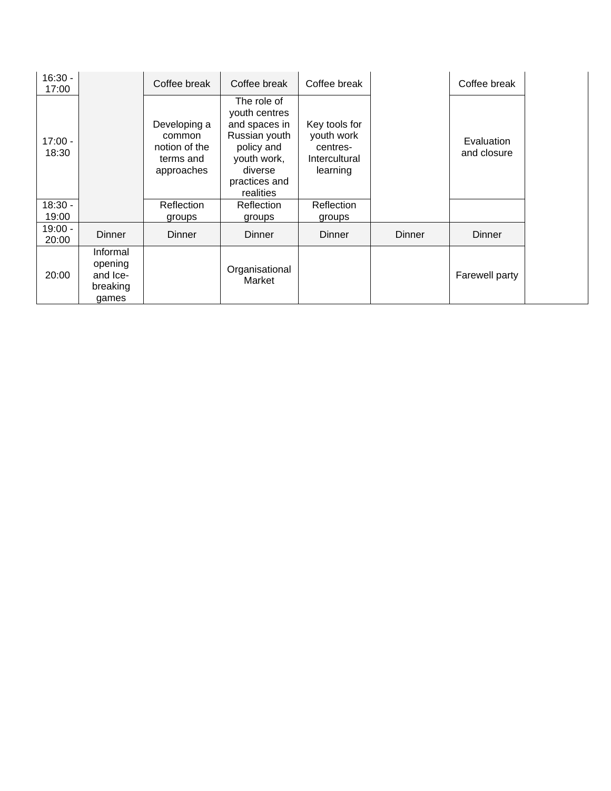| $16:30 -$<br>17:00 |                                                      | Coffee break                                                       | Coffee break                                                                                                                         | Coffee break                                                         |        | Coffee break              |  |
|--------------------|------------------------------------------------------|--------------------------------------------------------------------|--------------------------------------------------------------------------------------------------------------------------------------|----------------------------------------------------------------------|--------|---------------------------|--|
| $17:00 -$<br>18:30 |                                                      | Developing a<br>common<br>notion of the<br>terms and<br>approaches | The role of<br>youth centres<br>and spaces in<br>Russian youth<br>policy and<br>youth work,<br>diverse<br>practices and<br>realities | Key tools for<br>youth work<br>centres-<br>Intercultural<br>learning |        | Evaluation<br>and closure |  |
| $18:30 -$          |                                                      | <b>Reflection</b>                                                  | Reflection                                                                                                                           | Reflection                                                           |        |                           |  |
| 19:00              |                                                      | groups                                                             | groups                                                                                                                               | groups                                                               |        |                           |  |
| $19:00 -$<br>20:00 | Dinner                                               | <b>Dinner</b>                                                      | <b>Dinner</b>                                                                                                                        | <b>Dinner</b>                                                        | Dinner | Dinner                    |  |
| 20:00              | Informal<br>opening<br>and Ice-<br>breaking<br>games |                                                                    | Organisational<br>Market                                                                                                             |                                                                      |        | Farewell party            |  |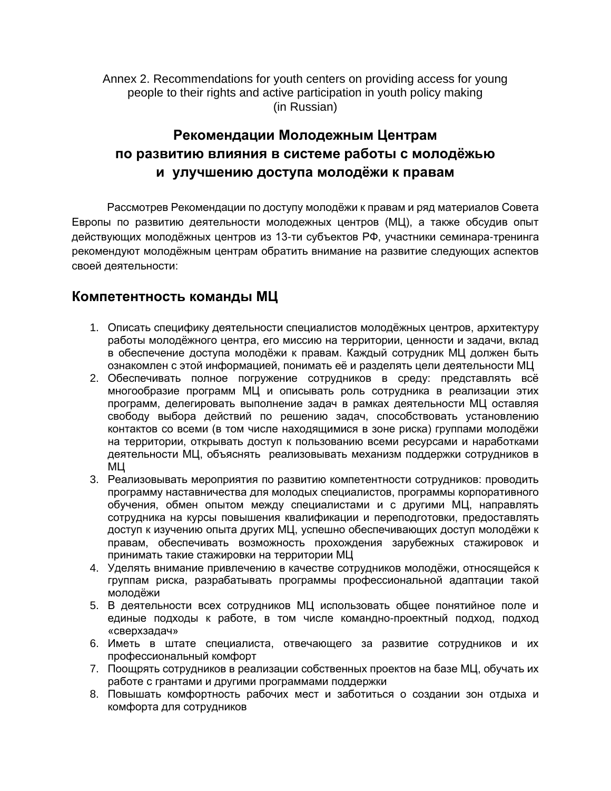Annex 2. Recommendations for youth centers on providing access for young people to their rights and active participation in youth policy making (in Russian)

## **Рекомендации Молодежным Центрам по развитию влияния в системе работы с молодёжью и улучшению доступа молодёжи к правам**

Рассмотрев Рекомендации по доступу молодёжи к правам и ряд материалов Совета Европы по развитию деятельности молодежных центров (МЦ), а также обсудив опыт действующих молодёжных центров из 13-ти субъектов РФ, участники семинара-тренинга рекомендуют молодёжным центрам обратить внимание на развитие следующих аспектов своей деятельности:

## **Компетентность команды МЦ**

- 1. Описать специфику деятельности специалистов молодёжных центров, архитектуру работы молодёжного центра, его миссию на территории, ценности и задачи, вклад в обеспечение доступа молодёжи к правам. Каждый сотрудник МЦ должен быть ознакомлен с этой информацией, понимать её и разделять цели деятельности МЦ
- 2. Обеспечивать полное погружение сотрудников в среду: представлять всё многообразие программ МЦ и описывать роль сотрудника в реализации этих программ, делегировать выполнение задач в рамках деятельности МЦ оставляя свободу выбора действий по решению задач, способствовать установлению контактов со всеми (в том числе находящимися в зоне риска) группами молодёжи на территории, открывать доступ к пользованию всеми ресурсами и наработками деятельности МЦ, объяснять реализовывать механизм поддержки сотрудников в МЦ
- 3. Реализовывать мероприятия по развитию компетентности сотрудников: проводить программу наставничества для молодых специалистов, программы корпоративного обучения, обмен опытом между специалистами и с другими МЦ, направлять сотрудника на курсы повышения квалификации и переподготовки, предоставлять доступ к изучению опыта других МЦ, успешно обеспечивающих доступ молодёжи к правам, обеспечивать возможность прохождения зарубежных стажировок и принимать такие стажировки на территории МЦ
- 4. Уделять внимание привлечению в качестве сотрудников молодёжи, относящейся к группам риска, разрабатывать программы профессиональной адаптации такой молодёжи
- 5. В деятельности всех сотрудников МЦ использовать общее понятийное поле и единые подходы к работе, в том числе командно-проектный подход, подход «сверхзадач»
- 6. Иметь в штате специалиста, отвечающего за развитие сотрудников и их профессиональный комфорт
- 7. Поощрять сотрудников в реализации собственных проектов на базе МЦ, обучать их работе с грантами и другими программами поддержки
- 8. Повышать комфортность рабочих мест и заботиться о создании зон отдыха и комфорта для сотрудников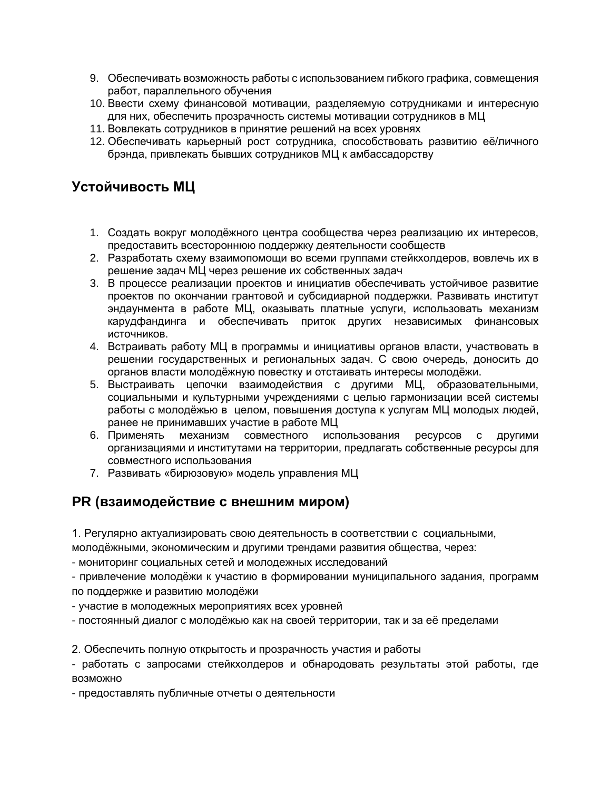- 9. Обеспечивать возможность работы с использованием гибкого графика, совмещения работ, параллельного обучения
- 10. Ввести схему финансовой мотивации, разделяемую сотрудниками и интересную для них, обеспечить прозрачность системы мотивации сотрудников в МЦ
- 11. Вовлекать сотрудников в принятие решений на всех уровнях
- 12. Обеспечивать карьерный рост сотрудника, способствовать развитию её/личного брэнда, привлекать бывших сотрудников МЦ к амбассадорству

## **Устойчивость МЦ**

- 1. Создать вокруг молодёжного центра сообщества через реализацию их интересов, предоставить всестороннюю поддержку деятельности сообществ
- 2. Разработать схему взаимопомощи во всеми группами стейкхолдеров, вовлечь их в решение задач МЦ через решение их собственных задач
- 3. В процессе реализации проектов и инициатив обеспечивать устойчивое развитие проектов по окончании грантовой и субсидиарной поддержки. Развивать институт эндаунмента в работе МЦ, оказывать платные услуги, использовать механизм карудфандинга и обеспечивать приток других независимых финансовых источников.
- 4. Встраивать работу МЦ в программы и инициативы органов власти, участвовать в решении государственных и региональных задач. С свою очередь, доносить до органов власти молодёжную повестку и отстаивать интересы молодёжи.
- 5. Выстраивать цепочки взаимодействия с другими МЦ, образовательными, социальными и культурными учреждениями с целью гармонизации всей системы работы с молодёжью в целом, повышения доступа к услугам МЦ молодых людей, ранее не принимавших участие в работе МЦ
- 6. Применять механизм совместного использования ресурсов с другими организациями и институтами на территории, предлагать собственные ресурсы для совместного использования
- 7. Развивать «бирюзовую» модель управления МЦ

## **PR (взаимодействие с внешним миром)**

1. Регулярно актуализировать свою деятельность в соответствии с социальными,

молодёжными, экономическим и другими трендами развития общества, через:

- мониторинг социальных сетей и молодежных исследований

- привлечение молодёжи к участию в формировании муниципального задания, программ по поддержке и развитию молодёжи

- участие в молодежных мероприятиях всех уровней

- постоянный диалог с молодёжью как на своей территории, так и за её пределами

2. Обеспечить полную открытость и прозрачность участия и работы

- работать с запросами стейкхолдеров и обнародовать результаты этой работы, где возможно

- предоставлять публичные отчеты о деятельности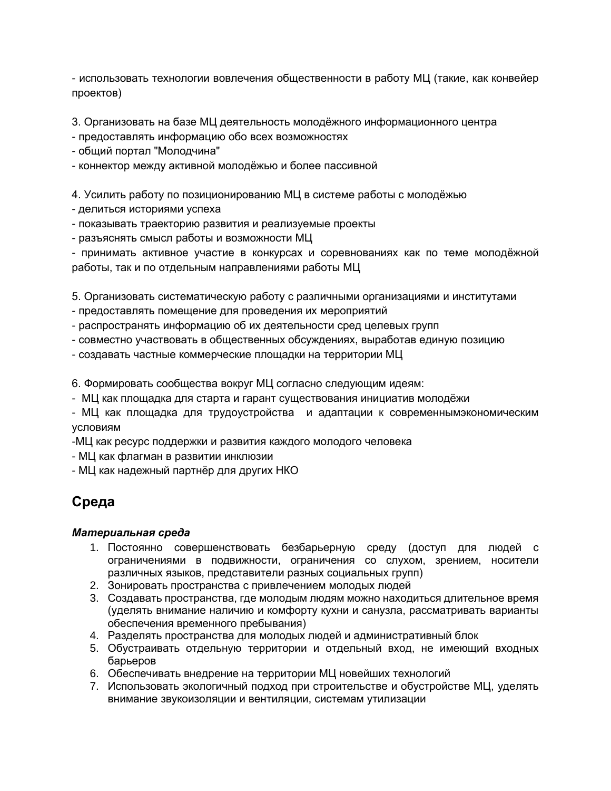- использовать технологии вовлечения общественности в работу МЦ (такие, как конвейер проектов)

3. Организовать на базе МЦ деятельность молодёжного информационного центра

- предоставлять информацию обо всех возможностях

- общий портал "Молодчина"
- коннектор между активной молодёжью и более пассивной

4. Усилить работу по позиционированию МЦ в системе работы с молодёжью

- делиться историями успеха
- показывать траекторию развития и реализуемые проекты
- разъяснять смысл работы и возможности МЦ

- принимать активное участие в конкурсах и соревнованиях как по теме молодёжной работы, так и по отдельным направлениями работы МЦ

5. Организовать систематическую работу с различными организациями и институтами

- предоставлять помещение для проведения их мероприятий
- распространять информацию об их деятельности сред целевых групп
- совместно участвовать в общественных обсуждениях, выработав единую позицию
- создавать частные коммерческие площадки на территории МЦ
- 6. Формировать сообщества вокруг МЦ согласно следующим идеям:
- МЦ как площадка для старта и гарант существования инициатив молодёжи

- МЦ как площадка для трудоустройства и адаптации к современнымэкономическим условиям

-МЦ как ресурс поддержки и развития каждого молодого человека

- МЦ как флагман в развитии инклюзии
- МЦ как надежный партнёр для других НКО

## **Среда**

#### *Материальная среда*

- 1. Постоянно совершенствовать безбарьерную среду (доступ для людей с ограничениями в подвижности, ограничения со слухом, зрением, носители различных языков, представители разных социальных групп)
- 2. Зонировать пространства с привлечением молодых людей
- 3. Создавать пространства, где молодым людям можно находиться длительное время (уделять внимание наличию и комфорту кухни и санузла, рассматривать варианты обеспечения временного пребывания)
- 4. Разделять пространства для молодых людей и административный блок
- 5. Обустраивать отдельную территории и отдельный вход, не имеющий входных барьеров
- 6. Обеспечивать внедрение на территории МЦ новейших технологий
- 7. Использовать экологичный подход при строительстве и обустройстве МЦ, уделять внимание звукоизоляции и вентиляции, системам утилизации